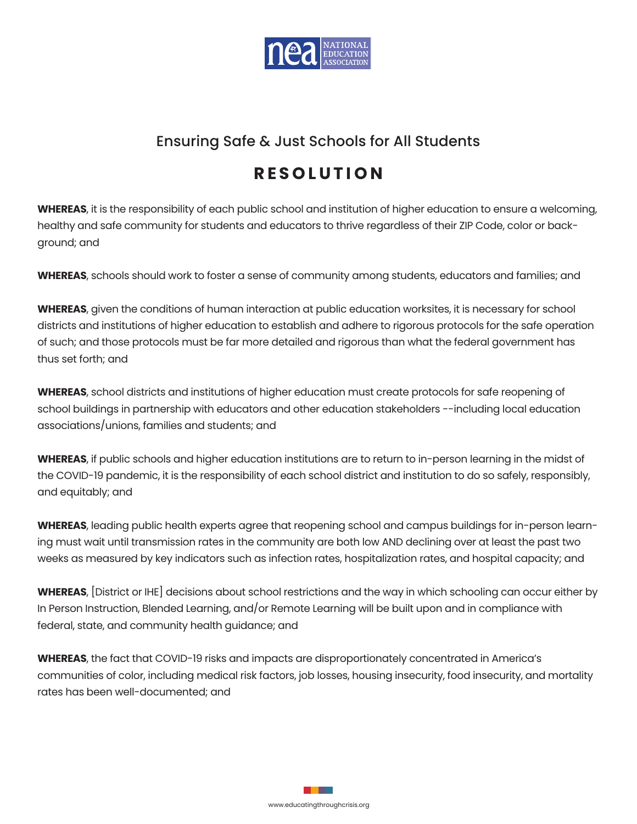

## Ensuring Safe & Just Schools for All Students

## **R E S O L U T I O N**

**WHEREAS**, it is the responsibility of each public school and institution of higher education to ensure a welcoming, healthy and safe community for students and educators to thrive regardless of their ZIP Code, color or background; and

**WHEREAS**, schools should work to foster a sense of community among students, educators and families; and

**WHEREAS**, given the conditions of human interaction at public education worksites, it is necessary for school districts and institutions of higher education to establish and adhere to rigorous protocols for the safe operation of such; and those protocols must be far more detailed and rigorous than what the federal government has thus set forth; and

**WHEREAS**, school districts and institutions of higher education must create protocols for safe reopening of school buildings in partnership with educators and other education stakeholders --including local education associations/unions, families and students; and

**WHEREAS**, if public schools and higher education institutions are to return to in-person learning in the midst of the COVID-19 pandemic, it is the responsibility of each school district and institution to do so safely, responsibly, and equitably; and

**WHEREAS**, leading public health experts agree that reopening school and campus buildings for in-person learning must wait until transmission rates in the community are both low AND declining over at least the past two weeks as measured by key indicators such as infection rates, hospitalization rates, and hospital capacity; and

**WHEREAS**, [District or IHE] decisions about school restrictions and the way in which schooling can occur either by In Person Instruction, Blended Learning, and/or Remote Learning will be built upon and in compliance with federal, state, and community health guidance; and

**WHEREAS**, the fact that COVID-19 risks and impacts are disproportionately concentrated in America's communities of color, including medical risk factors, job losses, housing insecurity, food insecurity, and mortality rates has been well-documented; and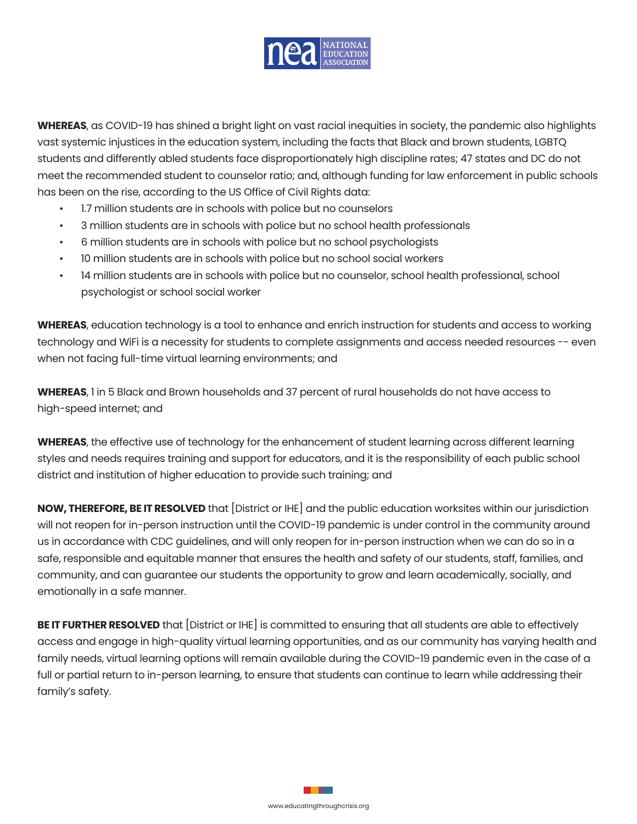

**WHEREAS**, as COVID-19 has shined a bright light on vast racial inequities in society, the pandemic also highlights vast systemic injustices in the education system, including the facts that Black and brown students, LGBTQ students and differently abled students face disproportionately high discipline rates; 47 states and DC do not meet the recommended student to counselor ratio; and, although funding for law enforcement in public schools has been on the rise, according to the US Office of Civil Rights data:

- 1.7 million students are in schools with police but no counselors
- 3 million students are in schools with police but no school health professionals
- 6 million students are in schools with police but no school psychologists
- 10 million students are in schools with police but no school social workers
- 14 million students are in schools with police but no counselor, school health professional, school psychologist or school social worker

**WHEREAS**, education technology is a tool to enhance and enrich instruction for students and access to working technology and WiFi is a necessity for students to complete assignments and access needed resources -- even when not facing full-time virtual learning environments; and

**WHEREAS**, 1 in 5 Black and Brown households and 37 percent of rural households do not have access to high-speed internet; and

**WHEREAS**, the effective use of technology for the enhancement of student learning across different learning styles and needs requires training and support for educators, and it is the responsibility of each public school district and institution of higher education to provide such training; and

**NOW, THEREFORE, BE IT RESOLVED** that [District or IHE] and the public education worksites within our jurisdiction will not reopen for in-person instruction until the COVID-19 pandemic is under control in the community around us in accordance with CDC guidelines, and will only reopen for in-person instruction when we can do so in a safe, responsible and equitable manner that ensures the health and safety of our students, staff, families, and community, and can guarantee our students the opportunity to grow and learn academically, socially, and emotionally in a safe manner.

**BE IT FURTHER RESOLVED** that [District or IHE] is committed to ensuring that all students are able to effectively access and engage in high-quality virtual learning opportunities, and as our community has varying health and family needs, virtual learning options will remain available during the COVID-19 pandemic even in the case of a full or partial return to in-person learning, to ensure that students can continue to learn while addressing their family's safety.